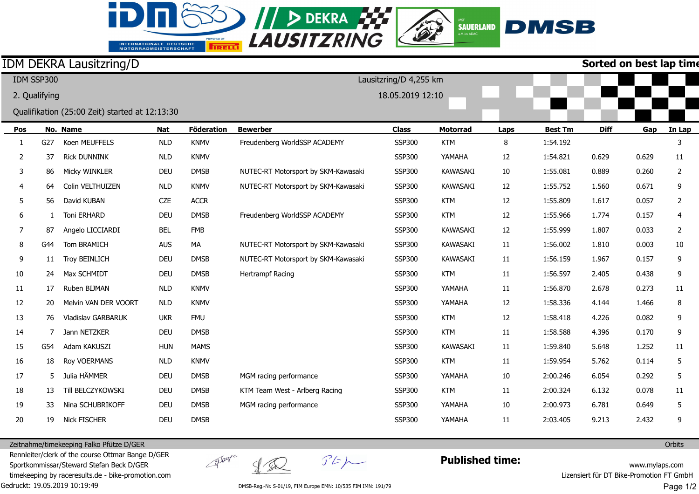## **EXAUSITZRING** INTERNATIONALE DEUTSCHE<br>MOTORRADMEISTERSCHAFT

Đ

## **DMSB**  $\overbrace{_{\mathsf{e.V. im\textbf{AOAC}}}}^{\textsf{MSP}}$

V

|                |               | <b>IDM DEKRA Lausitzring/D</b>                 |            |                   |                                     |               |                 |      |                | Sorted on best lap tim |       |                |  |
|----------------|---------------|------------------------------------------------|------------|-------------------|-------------------------------------|---------------|-----------------|------|----------------|------------------------|-------|----------------|--|
|                | IDM SSP300    |                                                |            |                   | Lausitzring/D 4,255 km              |               |                 |      |                |                        |       |                |  |
|                | 2. Qualifying |                                                |            |                   | 18.05.2019 12:10                    |               |                 |      |                |                        |       |                |  |
|                |               | Qualifikation (25:00 Zeit) started at 12:13:30 |            |                   |                                     |               |                 |      |                |                        |       |                |  |
| Pos            |               | No. Name                                       | <b>Nat</b> | <b>Föderation</b> | <b>Bewerber</b>                     | <b>Class</b>  | <b>Motorrad</b> | Laps | <b>Best Tm</b> | <b>Diff</b>            | Gap   | In Lap         |  |
| 1              | G27           | Koen MEUFFELS                                  | <b>NLD</b> | <b>KNMV</b>       | Freudenberg WorldSSP ACADEMY        | <b>SSP300</b> | <b>KTM</b>      | 8    | 1:54.192       |                        |       | 3              |  |
| $\overline{2}$ | 37            | <b>Rick DUNNINK</b>                            | <b>NLD</b> | <b>KNMV</b>       |                                     | <b>SSP300</b> | YAMAHA          | 12   | 1:54.821       | 0.629                  | 0.629 | 11             |  |
| 3              | 86            | Micky WINKLER                                  | <b>DEU</b> | <b>DMSB</b>       | NUTEC-RT Motorsport by SKM-Kawasaki | <b>SSP300</b> | <b>KAWASAKI</b> | 10   | 1:55.081       | 0.889                  | 0.260 | 2              |  |
| 4              | 64            | Colin VELTHUIZEN                               | <b>NLD</b> | <b>KNMV</b>       | NUTEC-RT Motorsport by SKM-Kawasaki | <b>SSP300</b> | <b>KAWASAKI</b> | 12   | 1:55.752       | 1.560                  | 0.671 | 9              |  |
| 5              | 56            | David KUBAN                                    | <b>CZE</b> | <b>ACCR</b>       |                                     | <b>SSP300</b> | <b>KTM</b>      | 12   | 1:55.809       | 1.617                  | 0.057 | $\overline{2}$ |  |
| 6              | $\mathbf{1}$  | Toni ERHARD                                    | <b>DEU</b> | <b>DMSB</b>       | Freudenberg WorldSSP ACADEMY        | <b>SSP300</b> | <b>KTM</b>      | 12   | 1:55.966       | 1.774                  | 0.157 | $\overline{4}$ |  |
| 7              | 87            | Angelo LICCIARDI                               | <b>BEL</b> | <b>FMB</b>        |                                     | <b>SSP300</b> | <b>KAWASAKI</b> | 12   | 1:55.999       | 1.807                  | 0.033 | 2              |  |
| 8              | G44           | Tom BRAMICH                                    | <b>AUS</b> | MA                | NUTEC-RT Motorsport by SKM-Kawasaki | <b>SSP300</b> | <b>KAWASAKI</b> | 11   | 1:56.002       | 1.810                  | 0.003 | 10             |  |
| 9              | 11            | <b>Troy BEINLICH</b>                           | <b>DEU</b> | <b>DMSB</b>       | NUTEC-RT Motorsport by SKM-Kawasaki | <b>SSP300</b> | <b>KAWASAKI</b> | 11   | 1:56.159       | 1.967                  | 0.157 | 9              |  |
| 10             | 24            | Max SCHMIDT                                    | <b>DEU</b> | <b>DMSB</b>       | Hertrampf Racing                    | <b>SSP300</b> | <b>KTM</b>      | 11   | 1:56.597       | 2.405                  | 0.438 | 9              |  |
| 11             | 17            | Ruben BIJMAN                                   | <b>NLD</b> | <b>KNMV</b>       |                                     | <b>SSP300</b> | YAMAHA          | 11   | 1:56.870       | 2.678                  | 0.273 | 11             |  |
| 12             | 20            | Melvin VAN DER VOORT                           | <b>NLD</b> | <b>KNMV</b>       |                                     | <b>SSP300</b> | YAMAHA          | 12   | 1:58.336       | 4.144                  | 1.466 | 8              |  |
| 13             | 76            | Vladislav GARBARUK                             | <b>UKR</b> | <b>FMU</b>        |                                     | <b>SSP300</b> | <b>KTM</b>      | 12   | 1:58.418       | 4.226                  | 0.082 | 9              |  |
| 14             |               | Jann NETZKER                                   | <b>DEU</b> | <b>DMSB</b>       |                                     | <b>SSP300</b> | <b>KTM</b>      | 11   | 1:58.588       | 4.396                  | 0.170 | 9              |  |
| 15             | G54           | Adam KAKUSZI                                   | <b>HUN</b> | <b>MAMS</b>       |                                     | <b>SSP300</b> | <b>KAWASAKI</b> | 11   | 1:59.840       | 5.648                  | 1.252 | 11             |  |
| 16             | 18            | Roy VOERMANS                                   | <b>NLD</b> | <b>KNMV</b>       |                                     | <b>SSP300</b> | <b>KTM</b>      | 11   | 1:59.954       | 5.762                  | 0.114 | 5              |  |
| 17             | 5             | Julia HÄMMER                                   | <b>DEU</b> | <b>DMSB</b>       | MGM racing performance              | <b>SSP300</b> | YAMAHA          | 10   | 2:00.246       | 6.054                  | 0.292 | 5              |  |
| 18             | 13            | Till BELCZYKOWSKI                              | <b>DEU</b> | <b>DMSB</b>       | KTM Team West - Arlberg Racing      | <b>SSP300</b> | <b>KTM</b>      | 11   | 2:00.324       | 6.132                  | 0.078 | 11             |  |
| 19             | 33            | Nina SCHUBRIKOFF                               | <b>DEU</b> | <b>DMSB</b>       | MGM racing performance              | <b>SSP300</b> | YAMAHA          | 10   | 2:00.973       | 6.781                  | 0.649 | 5              |  |
| 20             | 19            | <b>Nick FISCHER</b>                            | <b>DEU</b> | <b>DMSB</b>       |                                     | <b>SSP300</b> | YAMAHA          | 11   | 2:03.405       | 9.213                  | 2.432 | 9              |  |

**Sorted on best lap time**

Zeitnahme/timekeeping Falko Pfütze D/GER

Gedruckt: 19.05.2019 10:19:49 Rennleiter/clerk of the course Ottmar Bange D/GER Sportkommissar/Steward Stefan Beck D/GER timekeeping by raceresults.de - bike-promotion.com

 $\frac{1}{2}$ 

groupe

 $\mathcal{F}E\mathcal{P}$ 

**Published time:**

www.mylaps.com Lizensiert für DT Bike-Promotion FT GmbH Page 1/2

**Orbits** 

DMSB-Reg.-Nr. S-01/19, FIM Europe EMN: 10/535 FIM IMN: 191/79